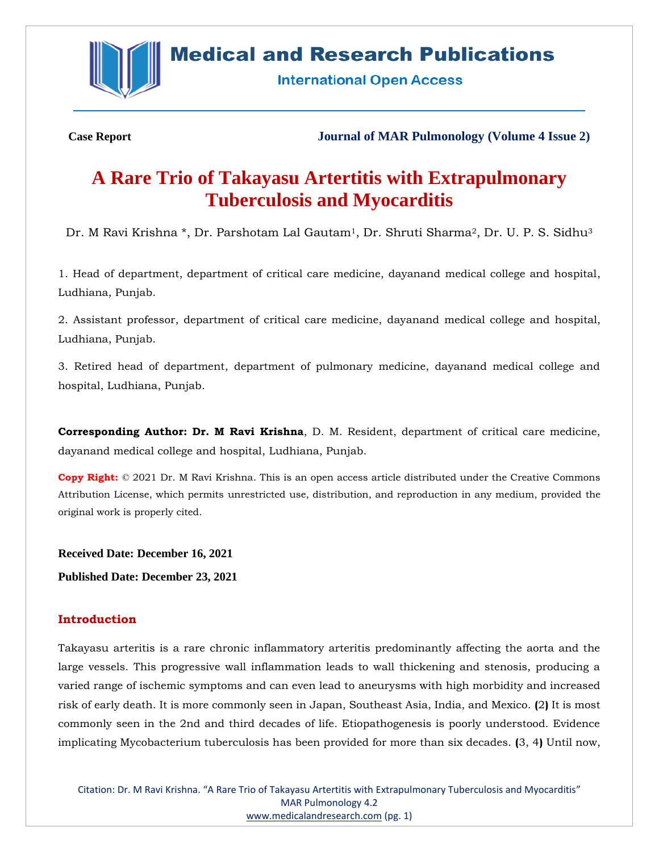

# **Medical and Research Publications**

**International Open Access** 

**Case Report Journal of MAR Pulmonology (Volume 4 Issue 2)**

# **A Rare Trio of Takayasu Artertitis with Extrapulmonary Tuberculosis and Myocarditis**

Dr. M Ravi Krishna \*, Dr. Parshotam Lal Gautam<sup>1</sup>, Dr. Shruti Sharma<sup>2</sup>, Dr. U. P. S. Sidhu<sup>3</sup>

1. Head of department, department of critical care medicine, dayanand medical college and hospital, Ludhiana, Punjab.

2. Assistant professor, department of critical care medicine, dayanand medical college and hospital, Ludhiana, Punjab.

3. Retired head of department, department of pulmonary medicine, dayanand medical college and hospital, Ludhiana, Punjab.

**Corresponding Author: Dr. M Ravi Krishna**, D. M. Resident, department of critical care medicine, dayanand medical college and hospital, Ludhiana, Punjab.

**Copy Right:** © 2021 Dr. M Ravi Krishna. This is an open access article distributed under the Creative Commons Attribution License, which permits unrestricted use, distribution, and reproduction in any medium, provided the original work is properly cited.

**Received Date: December 16, 2021 Published Date: December 23, 2021**

# **Introduction**

Takayasu arteritis is a rare chronic inflammatory arteritis predominantly affecting the aorta and the large vessels. This progressive wall inflammation leads to wall thickening and stenosis, producing a varied range of ischemic symptoms and can even lead to aneurysms with high morbidity and increased risk of early death. It is more commonly seen in Japan, Southeast Asia, India, and Mexico. **(**2**)** It is most commonly seen in the 2nd and third decades of life. Etiopathogenesis is poorly understood. Evidence implicating Mycobacterium tuberculosis has been provided for more than six decades. **(**3, 4**)** Until now,

Citation: Dr. M Ravi Krishna. "A Rare Trio of Takayasu Artertitis with Extrapulmonary Tuberculosis and Myocarditis" MAR Pulmonology 4.2 [www.medicalandresearch.com](http://www.medicalandresearch.com/) (pg. 1)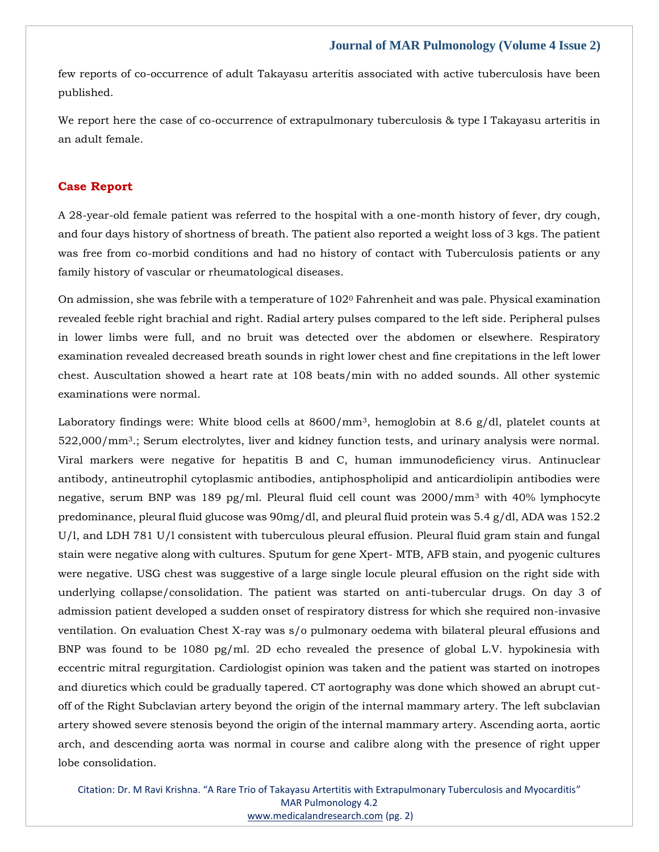few reports of co-occurrence of adult Takayasu arteritis associated with active tuberculosis have been published.

We report here the case of co-occurrence of extrapulmonary tuberculosis & type I Takayasu arteritis in an adult female.

## **Case Report**

A 28-year-old female patient was referred to the hospital with a one-month history of fever, dry cough, and four days history of shortness of breath. The patient also reported a weight loss of 3 kgs. The patient was free from co-morbid conditions and had no history of contact with Tuberculosis patients or any family history of vascular or rheumatological diseases.

On admission, she was febrile with a temperature of 102<sup>0</sup> Fahrenheit and was pale. Physical examination revealed feeble right brachial and right. Radial artery pulses compared to the left side. Peripheral pulses in lower limbs were full, and no bruit was detected over the abdomen or elsewhere. Respiratory examination revealed decreased breath sounds in right lower chest and fine crepitations in the left lower chest. Auscultation showed a heart rate at 108 beats/min with no added sounds. All other systemic examinations were normal.

Laboratory findings were: White blood cells at 8600/mm<sup>3</sup>, hemoglobin at 8.6 g/dl, platelet counts at 522,000/mm3.; Serum electrolytes, liver and kidney function tests, and urinary analysis were normal. Viral markers were negative for hepatitis B and C, human immunodeficiency virus. Antinuclear antibody, antineutrophil cytoplasmic antibodies, antiphospholipid and anticardiolipin antibodies were negative, serum BNP was 189 pg/ml. Pleural fluid cell count was 2000/mm<sup>3</sup> with 40% lymphocyte predominance, pleural fluid glucose was 90mg/dl, and pleural fluid protein was 5.4 g/dl, ADA was 152.2 U/l, and LDH 781 U/l consistent with tuberculous pleural effusion. Pleural fluid gram stain and fungal stain were negative along with cultures. Sputum for gene Xpert- MTB, AFB stain, and pyogenic cultures were negative. USG chest was suggestive of a large single locule pleural effusion on the right side with underlying collapse/consolidation. The patient was started on anti-tubercular drugs. On day 3 of admission patient developed a sudden onset of respiratory distress for which she required non-invasive ventilation. On evaluation Chest X-ray was s/o pulmonary oedema with bilateral pleural effusions and BNP was found to be 1080 pg/ml. 2D echo revealed the presence of global L.V. hypokinesia with eccentric mitral regurgitation. Cardiologist opinion was taken and the patient was started on inotropes and diuretics which could be gradually tapered. CT aortography was done which showed an abrupt cutoff of the Right Subclavian artery beyond the origin of the internal mammary artery. The left subclavian artery showed severe stenosis beyond the origin of the internal mammary artery. Ascending aorta, aortic arch, and descending aorta was normal in course and calibre along with the presence of right upper lobe consolidation.

Citation: Dr. M Ravi Krishna. "A Rare Trio of Takayasu Artertitis with Extrapulmonary Tuberculosis and Myocarditis" MAR Pulmonology 4.2 [www.medicalandresearch.com](http://www.medicalandresearch.com/) (pg. 2)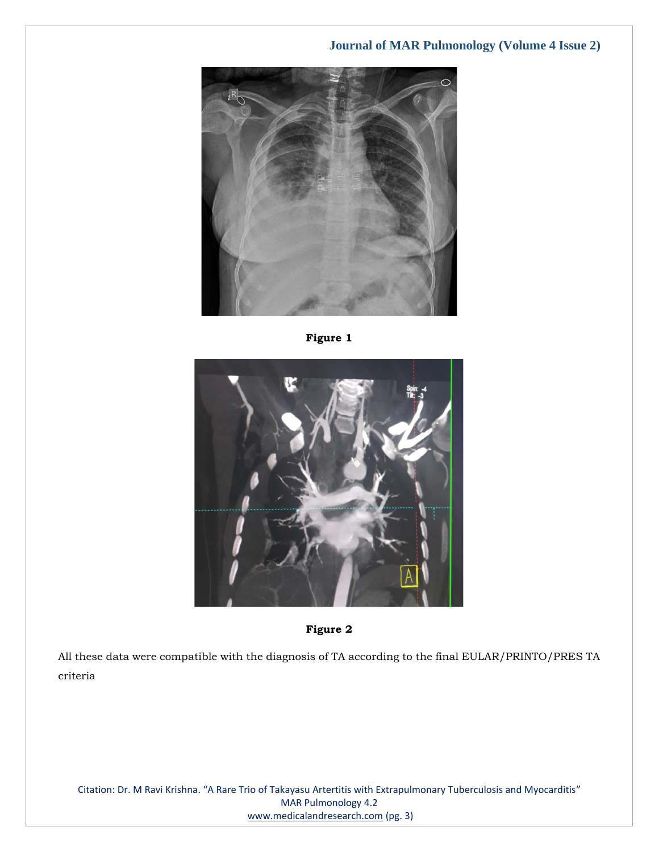







All these data were compatible with the diagnosis of TA according to the final EULAR/PRINTO/PRES TA criteria

Citation: Dr. M Ravi Krishna. "A Rare Trio of Takayasu Artertitis with Extrapulmonary Tuberculosis and Myocarditis" MAR Pulmonology 4.2 [www.medicalandresearch.com](http://www.medicalandresearch.com/) (pg. 3)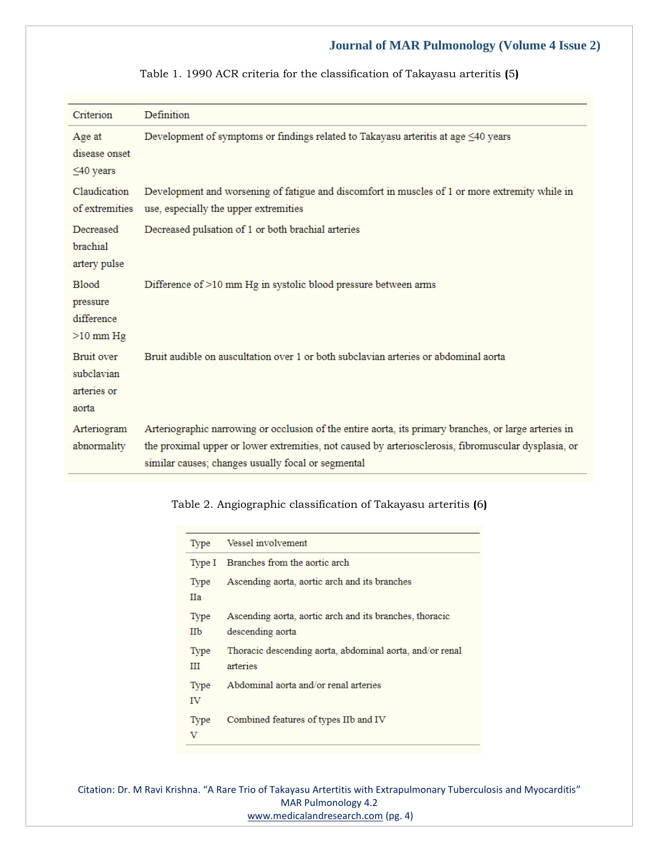| Criterion                                             | Definition                                                                                                                                                                                                                                                          |
|-------------------------------------------------------|---------------------------------------------------------------------------------------------------------------------------------------------------------------------------------------------------------------------------------------------------------------------|
| Age at<br>disease onset<br>$\leq 40$ years            | Development of symptoms or findings related to Takayasu arteritis at age $\leq 40$ years                                                                                                                                                                            |
| Claudication<br>of extremities                        | Development and worsening of fatigue and discomfort in muscles of 1 or more extremity while in<br>use, especially the upper extremities                                                                                                                             |
| Decreased<br>brachial<br>artery pulse                 | Decreased pulsation of 1 or both brachial arteries                                                                                                                                                                                                                  |
| <b>Blood</b><br>pressure<br>difference<br>$>10$ mm Hg | Difference of >10 mm Hg in systolic blood pressure between arms                                                                                                                                                                                                     |
| Bruit over<br>subclavian<br>arteries or<br>aorta      | Bruit audible on auscultation over 1 or both subclavian arteries or abdominal aorta                                                                                                                                                                                 |
| Arteriogram<br>abnormality                            | Arteriographic narrowing or occlusion of the entire aorta, its primary branches, or large arteries in<br>the proximal upper or lower extremities, not caused by arteriosclerosis, fibromuscular dysplasia, or<br>similar causes; changes usually focal or segmental |

Table 1. 1990 ACR criteria for the classification of Takayasu arteritis **(**5**)**

## Table 2. Angiographic classification of Takayasu arteritis **(**6**)**

| Type        | Vessel involvement                                                          |
|-------------|-----------------------------------------------------------------------------|
| Type I      | Branches from the aortic arch                                               |
| Type<br>Нa  | Ascending aorta, aortic arch and its branches                               |
| Type<br>IIb | Ascending aorta, aortic arch and its branches, thoracic<br>descending aorta |
| Type<br>ш   | Thoracic descending aorta, abdominal aorta, and/or renal<br>arteries        |
| Type<br>īV  | Abdominal aorta and/or renal arteries                                       |
| Type        | Combined features of types IIb and IV                                       |

Citation: Dr. M Ravi Krishna. "A Rare Trio of Takayasu Artertitis with Extrapulmonary Tuberculosis and Myocarditis" MAR Pulmonology 4.2 [www.medicalandresearch.com](http://www.medicalandresearch.com/) (pg. 4)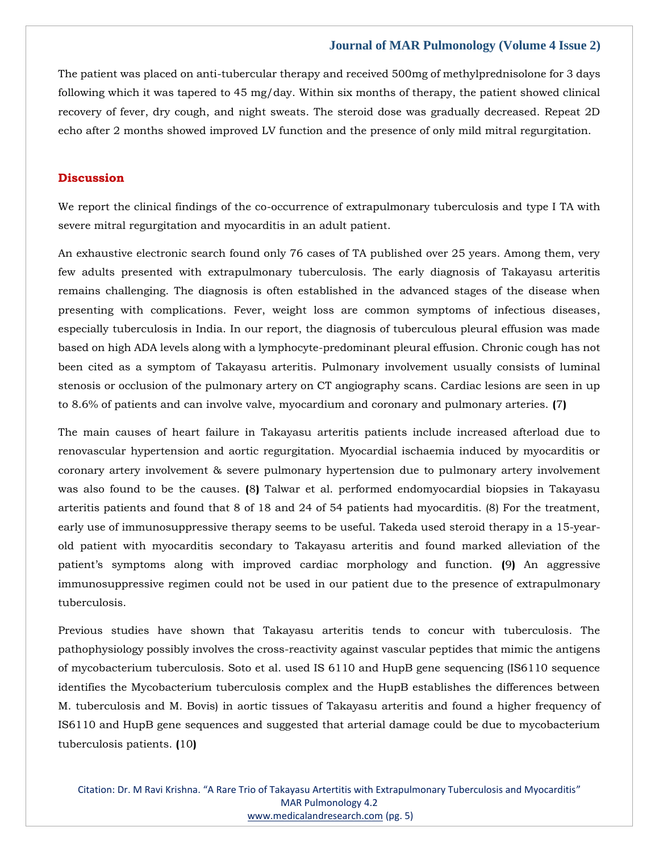The patient was placed on anti-tubercular therapy and received 500mg of methylprednisolone for 3 days following which it was tapered to 45 mg/day. Within six months of therapy, the patient showed clinical recovery of fever, dry cough, and night sweats. The steroid dose was gradually decreased. Repeat 2D echo after 2 months showed improved LV function and the presence of only mild mitral regurgitation.

## **Discussion**

We report the clinical findings of the co-occurrence of extrapulmonary tuberculosis and type I TA with severe mitral regurgitation and myocarditis in an adult patient.

An exhaustive electronic search found only 76 cases of TA published over 25 years. Among them, very few adults presented with extrapulmonary tuberculosis. The early diagnosis of Takayasu arteritis remains challenging. The diagnosis is often established in the advanced stages of the disease when presenting with complications. Fever, weight loss are common symptoms of infectious diseases, especially tuberculosis in India. In our report, the diagnosis of tuberculous pleural effusion was made based on high ADA levels along with a lymphocyte-predominant pleural effusion. Chronic cough has not been cited as a symptom of Takayasu arteritis. Pulmonary involvement usually consists of luminal stenosis or occlusion of the pulmonary artery on CT angiography scans. Cardiac lesions are seen in up to 8.6% of patients and can involve valve, myocardium and coronary and pulmonary arteries. **(**7**)**

The main causes of heart failure in Takayasu arteritis patients include increased afterload due to renovascular hypertension and aortic regurgitation. Myocardial ischaemia induced by myocarditis or coronary artery involvement & severe pulmonary hypertension due to pulmonary artery involvement was also found to be the causes. **(**8**)** Talwar et al. performed endomyocardial biopsies in Takayasu arteritis patients and found that 8 of 18 and 24 of 54 patients had myocarditis. (8) For the treatment, early use of immunosuppressive therapy seems to be useful. Takeda used steroid therapy in a 15-yearold patient with myocarditis secondary to Takayasu arteritis and found marked alleviation of the patient's symptoms along with improved cardiac morphology and function. **(**9**)** An aggressive immunosuppressive regimen could not be used in our patient due to the presence of extrapulmonary tuberculosis.

Previous studies have shown that Takayasu arteritis tends to concur with tuberculosis. The pathophysiology possibly involves the cross-reactivity against vascular peptides that mimic the antigens of mycobacterium tuberculosis. Soto et al. used IS 6110 and HupB gene sequencing (IS6110 sequence identifies the Mycobacterium tuberculosis complex and the HupB establishes the differences between M. tuberculosis and M. Bovis) in aortic tissues of Takayasu arteritis and found a higher frequency of IS6110 and HupB gene sequences and suggested that arterial damage could be due to mycobacterium tuberculosis patients. **(**10**)**

Citation: Dr. M Ravi Krishna. "A Rare Trio of Takayasu Artertitis with Extrapulmonary Tuberculosis and Myocarditis" MAR Pulmonology 4.2 [www.medicalandresearch.com](http://www.medicalandresearch.com/) (pg. 5)